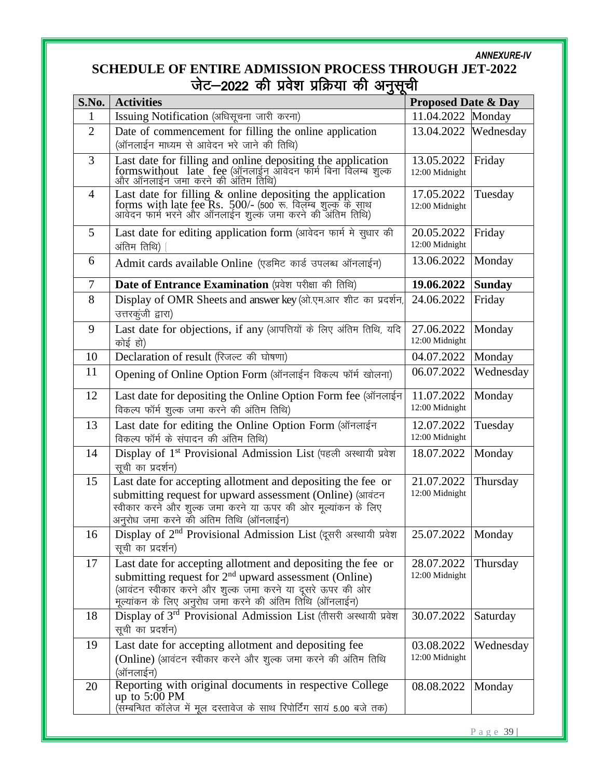## *ANNEXURE-IV*

## **SCHEDULE OF ENTIRE ADMISSION PROCESS THROUGH JET-2022** जेट–2022 की प्रवेश प्रक्रिया की अनुसूची

| S.No.          | ە ت<br><b>Activities</b>                                                                                                                                                                                                                      | <b>Proposed Date &amp; Day</b> |               |
|----------------|-----------------------------------------------------------------------------------------------------------------------------------------------------------------------------------------------------------------------------------------------|--------------------------------|---------------|
| 1              | Issuing Notification (अधिसूचना जारी करना)                                                                                                                                                                                                     | 11.04.2022 Monday              |               |
| $\overline{2}$ | Date of commencement for filling the online application<br>(ऑनलाईन माध्यम से आवेदन भरे जाने की तिथि)                                                                                                                                          | 13.04.2022                     | Wednesday     |
| 3              | Last date for filling and online depositing the application<br>formswithout late fee (ऑनलाईन आवेदन फार्म बिना विलम्ब शुल्क<br>और ऑनलाईन जमा करने की अंतिम तिथि)                                                                               | 13.05.2022<br>12:00 Midnight   | Friday        |
| $\overline{4}$ | Last date for filling $\&$ online depositing the application<br>forms with late fee Rs. 500/- (500 रू. विलॅम्ब शुल्क के साथ<br>आवेदन फार्म भरने और ऑनलाईन शुल्क जमा करने की अंतिम तिथि)                                                       | 17.05.2022<br>12:00 Midnight   | Tuesday       |
| 5              | Last date for editing application form (आवेदन फार्म मे सूधार की<br>अंतिम तिथि)                                                                                                                                                                | 20.05.2022<br>12:00 Midnight   | Friday        |
| 6              | Admit cards available Online (एडमिट कार्ड उपलब्ध ऑनलाईन)                                                                                                                                                                                      | 13.06.2022                     | Monday        |
| $\overline{7}$ | Date of Entrance Examination (प्रवेश परीक्षा की तिथि)                                                                                                                                                                                         | 19.06.2022                     | <b>Sunday</b> |
| 8              | Display of OMR Sheets and answer key (ओ.एम.आर शीट का प्रदर्शन,<br>उत्तरकुंजी द्वारा)                                                                                                                                                          | 24.06.2022                     | Friday        |
| 9              | Last date for objections, if any (आपत्तियों के लिए अंतिम तिथि, यदि<br>कोई हो)                                                                                                                                                                 | 27.06.2022<br>12:00 Midnight   | Monday        |
| 10             | Declaration of result (रिजल्ट की घोषणा)                                                                                                                                                                                                       | 04.07.2022                     | Monday        |
| 11             | Opening of Online Option Form (ऑनलाईन विकल्प फॉर्म खोलना)                                                                                                                                                                                     | 06.07.2022                     | Wednesday     |
| 12             | Last date for depositing the Online Option Form fee (ऑनलाईन<br>विकल्प फॉर्म शुल्क जमा करने की अंतिम तिथि)                                                                                                                                     | 11.07.2022<br>12:00 Midnight   | Monday        |
| 13             | Last date for editing the Online Option Form (ऑनलाईन<br>विकल्प फॉर्म के संपादन की अंतिम तिथि)                                                                                                                                                 | 12.07.2022<br>12:00 Midnight   | Tuesday       |
| 14             | Display of 1 <sup>st</sup> Provisional Admission List (पहली अस्थायी प्रवेश<br>सूची का प्रदर्शन)                                                                                                                                               | 18.07.2022                     | Monday        |
| 15             | Last date for accepting allotment and depositing the fee or<br>submitting request for upward assessment (Online) (आवंटन<br>स्वीकार करने और शुल्क जमा करने या ऊपर की ओर मूल्यांकन के लिए<br>अनुरोध जमा करने की अंतिम तिथि (ऑनलाईन)             | 21.07.2022<br>12:00 Midnight   | Thursday      |
| 16             | Display of 2 <sup>nd</sup> Provisional Admission List (दूसरी अस्थायी प्रवेश<br>सूची का प्रदर्शन)                                                                                                                                              | $\sqrt{25.07.2022}$ Monday     |               |
| 17             | Last date for accepting allotment and depositing the fee or<br>submitting request for $2nd$ upward assessment (Online)<br>(आवंटन स्वीकार करने और शुल्क जमा करने या दूसरे ऊपर की ओर<br>मूल्यांकन के लिए अनुरोध जमा करने की अंतिम तिथि (ऑनलाईन) | 28.07.2022<br>12:00 Midnight   | Thursday      |
| 18             | Display of 3rd Provisional Admission List (तीसरी अस्थायी प्रवेश<br>सूची का प्रदर्शन)                                                                                                                                                          | 30.07.2022                     | Saturday      |
| 19             | Last date for accepting allotment and depositing fee<br>(Online) (आवंटन स्वीकार करने और शुल्क जमा करने की अंतिम तिथि<br>(ऑनलाईन)                                                                                                              | 03.08.2022<br>12:00 Midnight   | Wednesday     |
| 20             | Reporting with original documents in respective College<br>up to $5:00 \text{ PM}$<br>(सम्बन्धित कॉलेज में मूल दस्तावेज के साथ रिपोर्टिंग सायं 5.00 बजे तक)                                                                                   | 08.08.2022                     | Monday        |